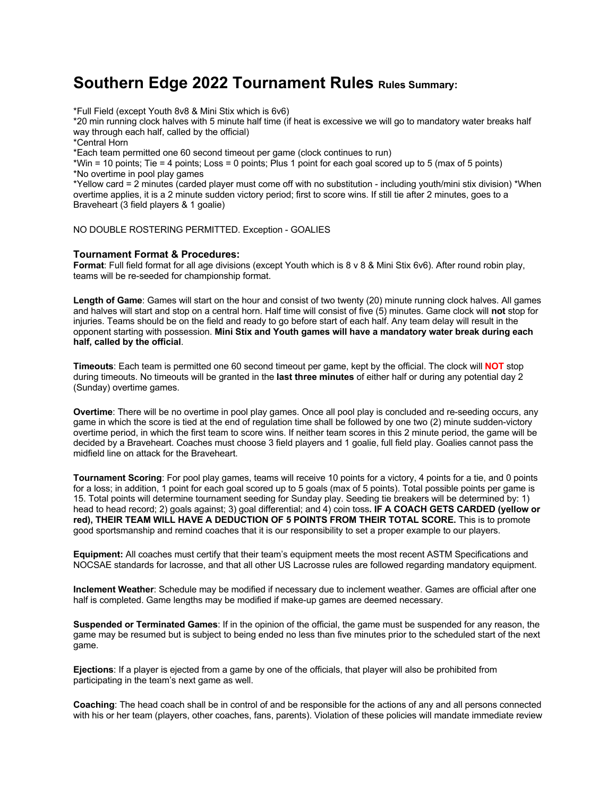## **Southern Edge 2022 Tournament Rules Rules Summary:**

\*Full Field (except Youth 8v8 & Mini Stix which is 6v6)

\*20 min running clock halves with 5 minute half time (if heat is excessive we will go to mandatory water breaks half way through each half, called by the official)

\*Central Horn

\*Each team permitted one 60 second timeout per game (clock continues to run)

\*Win = 10 points; Tie = 4 points; Loss = 0 points; Plus 1 point for each goal scored up to 5 (max of 5 points) \*No overtime in pool play games

\*Yellow card = 2 minutes (carded player must come off with no substitution - including youth/mini stix division) \*When overtime applies, it is a 2 minute sudden victory period; first to score wins. If still tie after 2 minutes, goes to a Braveheart (3 field players & 1 goalie)

NO DOUBLE ROSTERING PERMITTED. Exception - GOALIES

## **Tournament Format & Procedures:**

**Format**: Full field format for all age divisions (except Youth which is 8 v 8 & Mini Stix 6v6). After round robin play, teams will be re-seeded for championship format.

**Length of Game**: Games will start on the hour and consist of two twenty (20) minute running clock halves. All games and halves will start and stop on a central horn. Half time will consist of five (5) minutes. Game clock will **not** stop for injuries. Teams should be on the field and ready to go before start of each half. Any team delay will result in the opponent starting with possession. **Mini Stix and Youth games will have a mandatory water break during each half, called by the official**.

**Timeouts**: Each team is permitted one 60 second timeout per game, kept by the official. The clock will **NOT** stop during timeouts. No timeouts will be granted in the **last three minutes** of either half or during any potential day 2 (Sunday) overtime games.

**Overtime**: There will be no overtime in pool play games. Once all pool play is concluded and re-seeding occurs, any game in which the score is tied at the end of regulation time shall be followed by one two (2) minute sudden-victory overtime period, in which the first team to score wins. If neither team scores in this 2 minute period, the game will be decided by a Braveheart. Coaches must choose 3 field players and 1 goalie, full field play. Goalies cannot pass the midfield line on attack for the Braveheart.

**Tournament Scoring**: For pool play games, teams will receive 10 points for a victory, 4 points for a tie, and 0 points for a loss; in addition, 1 point for each goal scored up to 5 goals (max of 5 points). Total possible points per game is 15. Total points will determine tournament seeding for Sunday play. Seeding tie breakers will be determined by: 1) head to head record; 2) goals against; 3) goal differential; and 4) coin toss**. IF A COACH GETS CARDED (yellow or red), THEIR TEAM WILL HAVE A DEDUCTION OF 5 POINTS FROM THEIR TOTAL SCORE.** This is to promote good sportsmanship and remind coaches that it is our responsibility to set a proper example to our players.

**Equipment:** All coaches must certify that their team's equipment meets the most recent ASTM Specifications and NOCSAE standards for lacrosse, and that all other US Lacrosse rules are followed regarding mandatory equipment.

**Inclement Weather**: Schedule may be modified if necessary due to inclement weather. Games are official after one half is completed. Game lengths may be modified if make-up games are deemed necessary.

**Suspended or Terminated Games**: If in the opinion of the official, the game must be suspended for any reason, the game may be resumed but is subject to being ended no less than five minutes prior to the scheduled start of the next game.

**Ejections**: If a player is ejected from a game by one of the officials, that player will also be prohibited from participating in the team's next game as well.

**Coaching**: The head coach shall be in control of and be responsible for the actions of any and all persons connected with his or her team (players, other coaches, fans, parents). Violation of these policies will mandate immediate review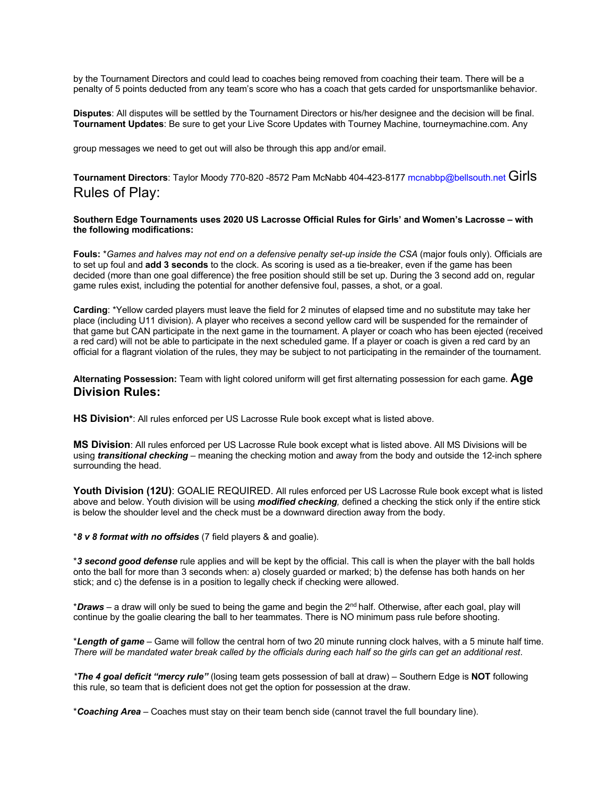by the Tournament Directors and could lead to coaches being removed from coaching their team. There will be a penalty of 5 points deducted from any team's score who has a coach that gets carded for unsportsmanlike behavior.

**Disputes**: All disputes will be settled by the Tournament Directors or his/her designee and the decision will be final. **Tournament Updates**: Be sure to get your Live Score Updates with Tourney Machine, tourneymachine.com. Any

group messages we need to get out will also be through this app and/or email.

**Tournament Directors**: Taylor Moody 770-820 -8572 Pam McNabb 404-423-8177 mcnabbp@bellsouth.net Girls Rules of Play:

**Southern Edge Tournaments uses 2020 US Lacrosse Official Rules for Girls' and Women's Lacrosse – with the following modifications:** 

**Fouls:** \**Games and halves may not end on a defensive penalty set-up inside the CSA* (major fouls only). Officials are to set up foul and **add 3 seconds** to the clock. As scoring is used as a tie-breaker, even if the game has been decided (more than one goal difference) the free position should still be set up. During the 3 second add on, regular game rules exist, including the potential for another defensive foul, passes, a shot, or a goal.

**Carding**: \*Yellow carded players must leave the field for 2 minutes of elapsed time and no substitute may take her place (including U11 division). A player who receives a second yellow card will be suspended for the remainder of that game but CAN participate in the next game in the tournament. A player or coach who has been ejected (received a red card) will not be able to participate in the next scheduled game. If a player or coach is given a red card by an official for a flagrant violation of the rules, they may be subject to not participating in the remainder of the tournament.

**Alternating Possession:** Team with light colored uniform will get first alternating possession for each game. **Age Division Rules:** 

**HS Division\***: All rules enforced per US Lacrosse Rule book except what is listed above.

**MS Division**: All rules enforced per US Lacrosse Rule book except what is listed above. All MS Divisions will be using *transitional checking* – meaning the checking motion and away from the body and outside the 12-inch sphere surrounding the head.

**Youth Division (12U)**: GOALIE REQUIRED. All rules enforced per US Lacrosse Rule book except what is listed above and below. Youth division will be using *modified checking,* defined a checking the stick only if the entire stick is below the shoulder level and the check must be a downward direction away from the body.

\**8 v 8 format with no offsides* (7 field players & and goalie).

\**3 second good defense* rule applies and will be kept by the official. This call is when the player with the ball holds onto the ball for more than 3 seconds when: a) closely guarded or marked; b) the defense has both hands on her stick; and c) the defense is in a position to legally check if checking were allowed.

\**Draws* – a draw will only be sued to being the game and begin the 2nd half. Otherwise, after each goal, play will continue by the goalie clearing the ball to her teammates. There is NO minimum pass rule before shooting.

\**Length of game* – Game will follow the central horn of two 20 minute running clock halves, with a 5 minute half time. *There will be mandated water break called by the officials during each half so the girls can get an additional rest*.

*\*The 4 goal deficit "mercy rule"* (losing team gets possession of ball at draw) – Southern Edge is **NOT** following this rule, so team that is deficient does not get the option for possession at the draw.

\**Coaching Area* – Coaches must stay on their team bench side (cannot travel the full boundary line).